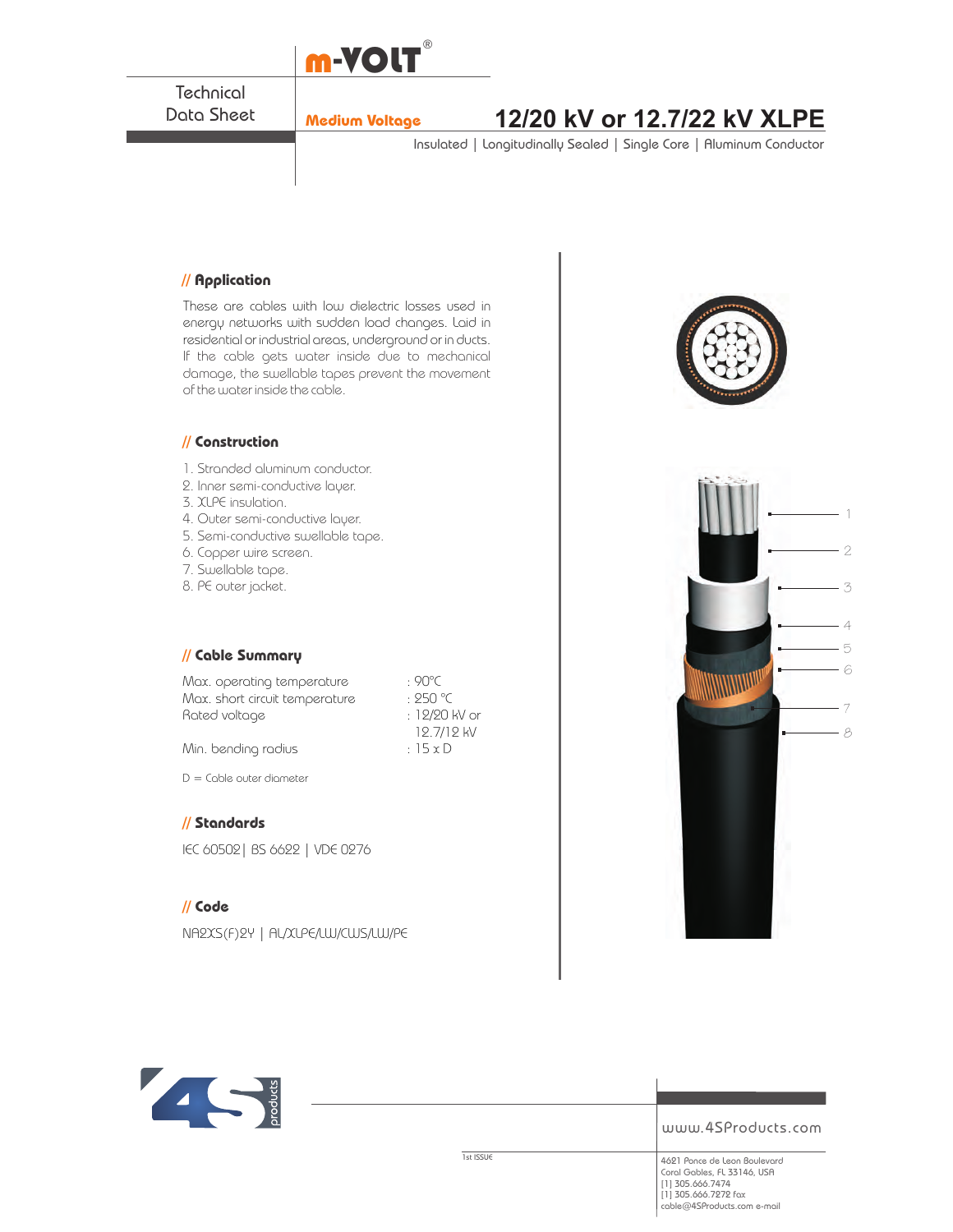

**Technical** Data Sheet

# **Medium Voltage 12/20 kV or 12.7/22 kV XLPE**

Insulated | Longitudinally Sealed | Single Core | Aluminum Conductor

## **// Application**

These are cables with low dielectric losses used in energy networks with sudden load changes. Laid in residential or industrial areas, underground or in ducts. If the cable gets water inside due to mechanical damage, the swellable tapes prevent the movement of the water inside the cable.

#### **// Construction**

- 1. Stranded aluminum conductor.
- 2. Inner semi-conductive layer.
- 3. XLPE insulation.
- 4. Outer semi-conductive layer.
- 5. Semi-conductive swellable tape.
- 6. Copper wire screen.
- 7. Swellable tape.
- 8. PE outer jacket.

## **// Cable Summary**

Max. operating temperature : 90°C Max. short circuit temperature : 250 °C Rated voltage in the set of the 12/20 kV or

 12.7/12 kV Min. bending radius  $\cdot$  15 x D

 $D =$  Cable outer diameter

## **// Standards**

IEC 60502| BS 6622 | VDE 0276

## **// Code**

NA2XS(F)2Y | AL/XLPE/LW/CWS/LW/PE







www.4SProducts.com